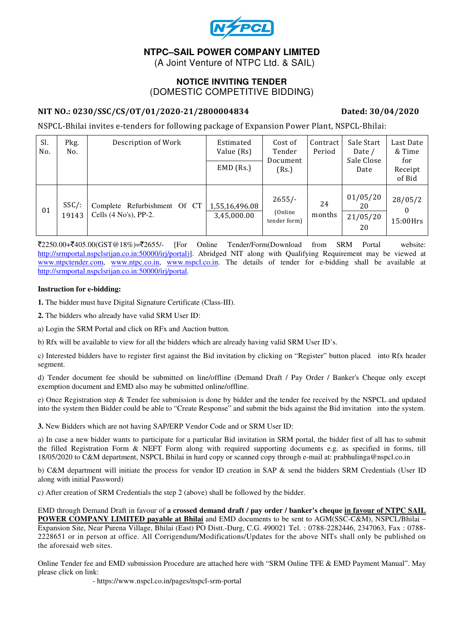

# **NTPC–SAIL POWER COMPANY LIMITED**

(A Joint Venture of NTPC Ltd. & SAIL)

#### **NOTICE INVITING TENDER**  (DOMESTIC COMPETITIVE BIDDING)

#### NIT NO.: 0230/SSC/CS/OT/01/2020-21/2800004834 Dated: 30/04/2020

NSPCL-Bhilai invites e-tenders for following package of Expansion Power Plant, NSPCL-Bhilai:

| Sl.<br>No. | Pkg.<br>No.       | Description of Work                                      | Estimated<br>Value (Rs)<br>$EMD$ (Rs.) | Cost of<br>Tender<br>Document<br>(Rs.) | Contract<br>Period | Sale Start<br>Date /<br>Sale Close<br>Date | Last Date<br>& Time<br>for<br>Receipt<br>of Bid |
|------------|-------------------|----------------------------------------------------------|----------------------------------------|----------------------------------------|--------------------|--------------------------------------------|-------------------------------------------------|
| 01         | $SSC/$ :<br>19143 | Complete Refurbishment Of CT<br>Cells $(4 No's)$ , PP-2. | 1,55,16,496.08<br>3,45,000.00          | $2655/-$<br>(Online)<br>tender form)   | 24<br>months       | 01/05/20<br>20<br>21/05/20<br>20           | 28/05/2<br>15:00Hrs                             |

 $\overline{\mathcal{K}}2250.00+\overline{\mathcal{K}}405.00(GST@18\%)=\overline{\mathcal{K}}2655/-$  [For Online Tender/Form(Download from SRM Portal website: http://srmportal.nspclsrijan.co.in:50000/irj/portal)]. Abridged NIT along with Qualifying Requirement may be viewed at www.ntpctender.com, www.ntpc.co.in, www.nspcl.co.in. The details of tender for e-bidding shall be available at http://srmportal.nspclsrijan.co.in:50000/irj/portal.

#### **Instruction for e-bidding:**

**1.** The bidder must have Digital Signature Certificate (Class-III).

**2.** The bidders who already have valid SRM User ID:

a) Login the SRM Portal and click on RFx and Auction button.

b) Rfx will be available to view for all the bidders which are already having valid SRM User ID's.

c) Interested bidders have to register first against the Bid invitation by clicking on "Register" button placed into Rfx header segment.

d) Tender document fee should be submitted on line/offline (Demand Draft / Pay Order / Banker's Cheque only except exemption document and EMD also may be submitted online/offline.

e) Once Registration step & Tender fee submission is done by bidder and the tender fee received by the NSPCL and updated into the system then Bidder could be able to "Create Response" and submit the bids against the Bid invitation into the system.

**3.** New Bidders which are not having SAP/ERP Vendor Code and or SRM User ID:

a) In case a new bidder wants to participate for a particular Bid invitation in SRM portal, the bidder first of all has to submit the filled Registration Form & NEFT Form along with required supporting documents e.g. as specified in forms, till 18/05/2020 to C&M department, NSPCL Bhilai in hard copy or scanned copy through e-mail at: prabhulinga@nspcl.co.in

b) C&M department will initiate the process for vendor ID creation in SAP & send the bidders SRM Credentials (User ID along with initial Password)

c) After creation of SRM Credentials the step 2 (above) shall be followed by the bidder.

EMD through Demand Draft in favour of **a crossed demand draft / pay order / banker's cheque in favour of NTPC SAIL POWER COMPANY LIMITED payable at Bhilai** and EMD documents to be sent to AGM(SSC-C&M), NSPCL/Bhilai – Expansion Site, Near Purena Village, Bhilai (East) PO Distt.-Durg, C.G. 490021 Tel. : 0788-2282446, 2347063, Fax : 0788- 2228651 or in person at office. All Corrigendum/Modifications/Updates for the above NITs shall only be published on the aforesaid web sites.

Online Tender fee and EMD submission Procedure are attached here with "SRM Online TFE & EMD Payment Manual". May please click on link:

- https://www.nspcl.co.in/pages/nspcl-srm-portal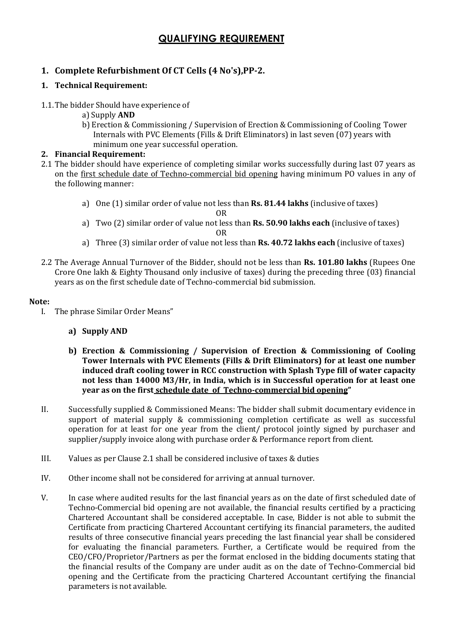# QUALIFYING REQUIREMENT

# 1. Complete Refurbishment Of CT Cells (4 No's),PP-2.

#### 1. Technical Requirement:

- 1.1.The bidder Should have experience of
	- a) Supply AND
	- b) Erection & Commissioning / Supervision of Erection & Commissioning of Cooling Tower Internals with PVC Elements (Fills & Drift Eliminators) in last seven (07) years with minimum one year successful operation.

#### 2. Financial Requirement:

- 2.1 The bidder should have experience of completing similar works successfully during last 07 years as on the first schedule date of Techno-commercial bid opening having minimum PO values in any of the following manner:
	- a) One (1) similar order of value not less than Rs. 81.44 lakhs (inclusive of taxes) OR
	- a) Two (2) similar order of value not less than Rs. 50.90 lakhs each (inclusive of taxes) OR
	- a) Three (3) similar order of value not less than Rs. 40.72 lakhs each (inclusive of taxes)
- 2.2 The Average Annual Turnover of the Bidder, should not be less than Rs. 101.80 lakhs (Rupees One Crore One lakh & Eighty Thousand only inclusive of taxes) during the preceding three (03) financial years as on the first schedule date of Techno-commercial bid submission.

#### Note:

I. The phrase Similar Order Means"

### a) Supply AND

- b) Erection & Commissioning / Supervision of Erection & Commissioning of Cooling Tower Internals with PVC Elements (Fills & Drift Eliminators) for at least one number induced draft cooling tower in RCC construction with Splash Type fill of water capacity not less than 14000 M3/Hr, in India, which is in Successful operation for at least one year as on the first schedule date of Techno-commercial bid opening"
- II. Successfully supplied & Commissioned Means: The bidder shall submit documentary evidence in support of material supply & commissioning completion certificate as well as successful operation for at least for one year from the client/ protocol jointly signed by purchaser and supplier/supply invoice along with purchase order & Performance report from client.
- III. Values as per Clause 2.1 shall be considered inclusive of taxes & duties
- IV. Other income shall not be considered for arriving at annual turnover.
- V. In case where audited results for the last financial years as on the date of first scheduled date of Techno-Commercial bid opening are not available, the financial results certified by a practicing Chartered Accountant shall be considered acceptable. In case, Bidder is not able to submit the Certificate from practicing Chartered Accountant certifying its financial parameters, the audited results of three consecutive financial years preceding the last financial year shall be considered for evaluating the financial parameters. Further, a Certificate would be required from the CEO/CFO/Proprietor/Partners as per the format enclosed in the bidding documents stating that the financial results of the Company are under audit as on the date of Techno-Commercial bid opening and the Certificate from the practicing Chartered Accountant certifying the financial parameters is not available.